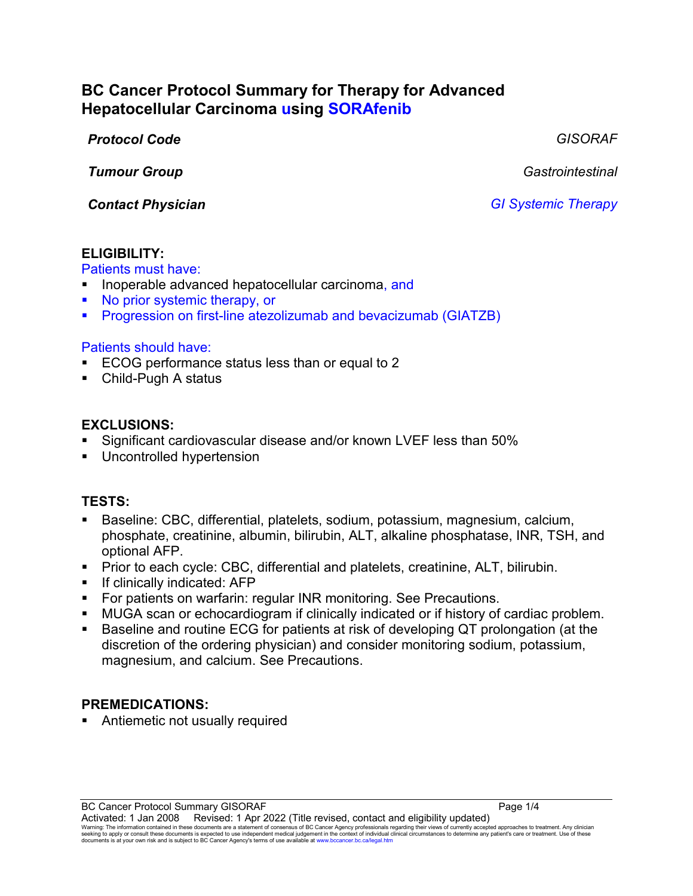# **BC Cancer Protocol Summary for Therapy for Advanced Hepatocellular Carcinoma using SORAfenib**

*Protocol Code GISORAF*

*Tumour Group Gastrointestinal*

*Contact Physician GI Systemic Therapy*

## **ELIGIBILITY:**

Patients must have:

- Inoperable advanced hepatocellular carcinoma, and
- No prior systemic therapy, or
- **Progression on first-line atezolizumab and bevacizumab (GIATZB)**

## Patients should have:

- ECOG performance status less than or equal to 2
- Child-Pugh A status

## **EXCLUSIONS:**

- Significant cardiovascular disease and/or known LVEF less than 50%
- Uncontrolled hypertension

## **TESTS:**

- Baseline: CBC, differential, platelets, sodium, potassium, magnesium, calcium, phosphate, creatinine, albumin, bilirubin, ALT, alkaline phosphatase, INR, TSH, and optional AFP.
- Prior to each cycle: CBC, differential and platelets, creatinine, ALT, bilirubin.
- **If clinically indicated: AFP**
- **For patients on warfarin: regular INR monitoring. See Precautions.**
- MUGA scan or echocardiogram if clinically indicated or if history of cardiac problem.
- Baseline and routine ECG for patients at risk of developing QT prolongation (at the discretion of the ordering physician) and consider monitoring sodium, potassium, magnesium, and calcium. See Precautions.

## **PREMEDICATIONS:**

Antiemetic not usually required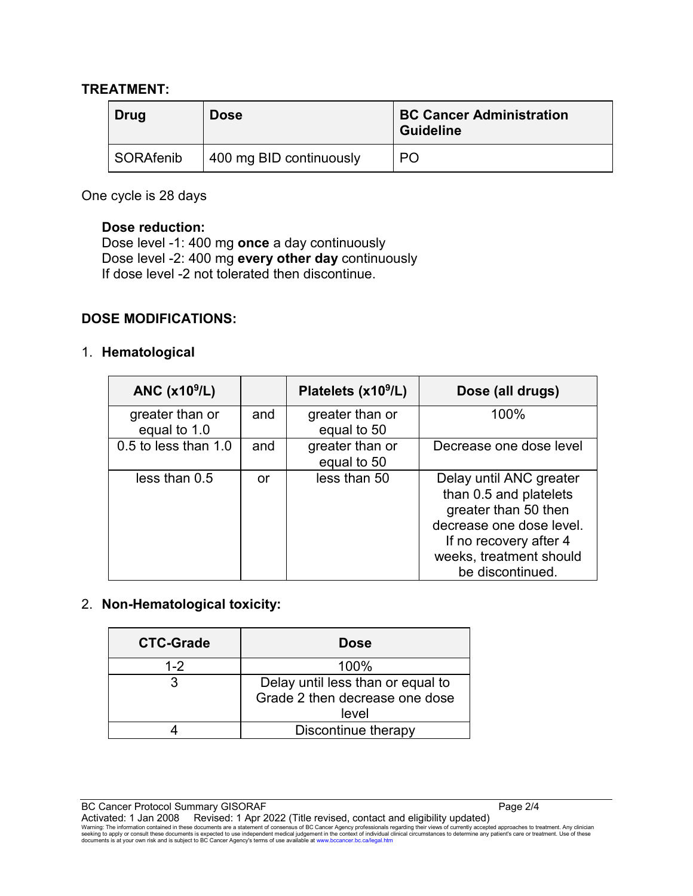#### **TREATMENT:**

| Drug      | <b>Dose</b>             | <b>BC Cancer Administration</b><br><b>Guideline</b> |
|-----------|-------------------------|-----------------------------------------------------|
| SORAfenib | 400 mg BID continuously | P <sub>O</sub>                                      |

One cycle is 28 days

#### **Dose reduction:**

Dose level -1: 400 mg **once** a day continuously Dose level -2: 400 mg **every other day** continuously If dose level -2 not tolerated then discontinue.

#### **DOSE MODIFICATIONS:**

#### 1. **Hematological**

| ANC $(x109/L)$                  |     | Platelets (x10 <sup>9</sup> /L) | Dose (all drugs)                                                                                                                                                               |
|---------------------------------|-----|---------------------------------|--------------------------------------------------------------------------------------------------------------------------------------------------------------------------------|
| greater than or<br>equal to 1.0 | and | greater than or<br>equal to 50  | 100%                                                                                                                                                                           |
| 0.5 to less than 1.0            | and | greater than or<br>equal to 50  | Decrease one dose level                                                                                                                                                        |
| less than 0.5                   | or  | less than 50                    | Delay until ANC greater<br>than 0.5 and platelets<br>greater than 50 then<br>decrease one dose level.<br>If no recovery after 4<br>weeks, treatment should<br>be discontinued. |

#### 2. **Non-Hematological toxicity:**

| <b>CTC-Grade</b> | <b>Dose</b>                                                                  |
|------------------|------------------------------------------------------------------------------|
| $1 - 2$          | 100%                                                                         |
|                  | Delay until less than or equal to<br>Grade 2 then decrease one dose<br>level |
|                  | Discontinue therapy                                                          |

BC Cancer Protocol Summary GISORAF Page 2/4

Activated: 1 Jan 2008 Revised: 1 Apr 2022 (Title revised, contact and eligibility updated)<br>Warning: The information contained in these documents are a statement of consensus of BC Cancer Agency professionals regarding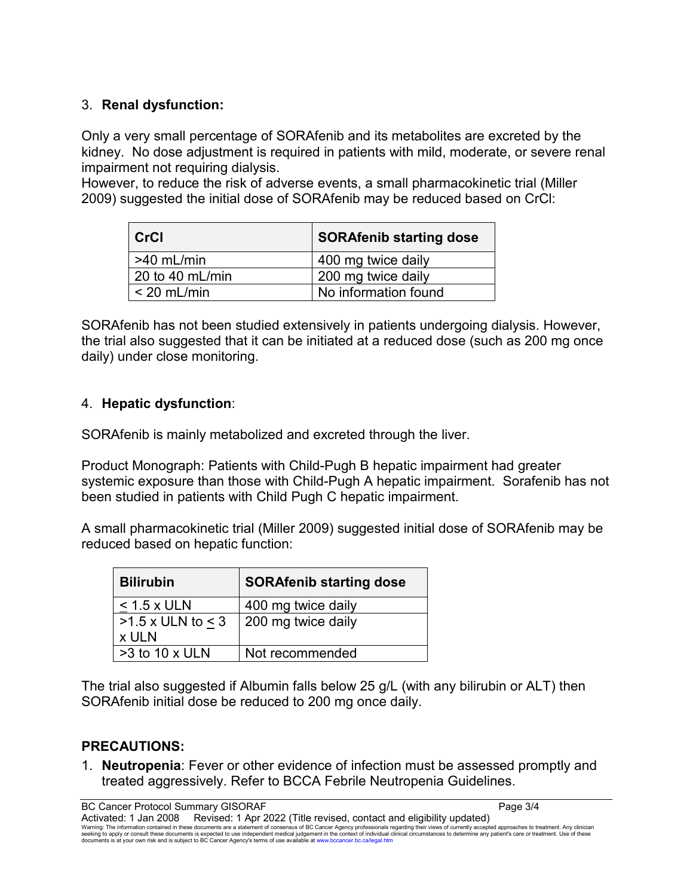## 3. **Renal dysfunction:**

Only a very small percentage of SORAfenib and its metabolites are excreted by the kidney. No dose adjustment is required in patients with mild, moderate, or severe renal impairment not requiring dialysis.

However, to reduce the risk of adverse events, a small pharmacokinetic trial (Miller 2009) suggested the initial dose of SORAfenib may be reduced based on CrCl:

| <b>CrCl</b>       | <b>SORAfenib starting dose</b> |  |
|-------------------|--------------------------------|--|
| $>40$ mL/min      | 400 mg twice daily             |  |
| 20 to 40 $mL/min$ | 200 mg twice daily             |  |
| $<$ 20 mL/min     | No information found           |  |

SORAfenib has not been studied extensively in patients undergoing dialysis. However, the trial also suggested that it can be initiated at a reduced dose (such as 200 mg once daily) under close monitoring.

## 4. **Hepatic dysfunction**:

SORAfenib is mainly metabolized and excreted through the liver.

Product Monograph: Patients with Child-Pugh B hepatic impairment had greater systemic exposure than those with Child-Pugh A hepatic impairment. Sorafenib has not been studied in patients with Child Pugh C hepatic impairment.

A small pharmacokinetic trial (Miller 2009) suggested initial dose of SORAfenib may be reduced based on hepatic function:

| <b>Bilirubin</b>                  | <b>SORAfenib starting dose</b> |  |
|-----------------------------------|--------------------------------|--|
| $< 1.5$ x ULN                     | 400 mg twice daily             |  |
| $>1.5$ x ULN to $\leq$ 3<br>x ULN | 200 mg twice daily             |  |
| $>3$ to 10 x ULN                  | Not recommended                |  |

The trial also suggested if Albumin falls below 25 g/L (with any bilirubin or ALT) then SORAfenib initial dose be reduced to 200 mg once daily.

## **PRECAUTIONS:**

1. **Neutropenia**: Fever or other evidence of infection must be assessed promptly and treated aggressively. Refer to BCCA Febrile Neutropenia Guidelines.

BC Cancer Protocol Summary GISORAF **Page 3/4**